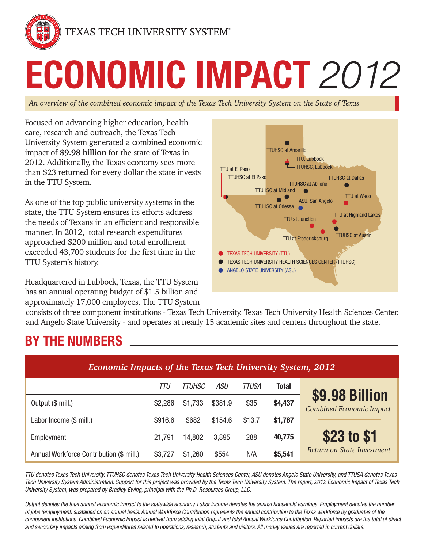

TEXAS TECH UNIVERSITY SYSTEM®

# **ECONOMIC IMPACT** *2012*

*An overview of the combined economic impact of the Texas Tech University System on the State of Texas*

Focused on advancing higher education, health care, research and outreach, the Texas Tech University System generated a combined economic impact of **\$9.98 billion** for the state of Texas in 2012. Additionally, the Texas economy sees more than \$23 returned for every dollar the state invests in the TTU System.

As one of the top public university systems in the state, the TTU System ensures its efforts address the needs of Texans in an efficient and responsible manner. In 2012, total research expenditures approached \$200 million and total enrollment exceeded 43,700 students for the first time in the TTU System's history.

Headquartered in Lubbock, Texas, the TTU System has an annual operating budget of \$1.5 billion and approximately 17,000 employees. The TTU System



consists of three component institutions - Texas Tech University, Texas Tech University Health Sciences Center, and Angelo State University - and operates at nearly 15 academic sites and centers throughout the state.

# **BY THE NUMBERS**

| Economic Impacts of the Texas Tech University System, 2012 |         |         |         |        |              |                                                   |
|------------------------------------------------------------|---------|---------|---------|--------|--------------|---------------------------------------------------|
|                                                            | TTU     | TTUHSC  | ASU     | TTUSA  | <b>Total</b> |                                                   |
| Output (\$ mill.)                                          | \$2,286 | \$1,733 | \$381.9 | \$35   | \$4,437      | \$9.98 Billion<br><b>Combined Economic Impact</b> |
| Labor Income (\$ mill.)                                    | \$916.6 | \$682   | \$154.6 | \$13.7 | \$1,767      |                                                   |
| Employment                                                 | 21,791  | 14,802  | 3,895   | 288    | 40,775       | \$23 to \$1                                       |
| Annual Workforce Contribution (\$ mill.)                   | \$3,727 | \$1,260 | \$554   | N/A    | \$5,541      | Return on State Investment                        |

*TTU denotes Texas Tech University, TTUHSC denotes Texas Tech University Health Sciences Center, ASU denotes Angelo State University, and TTUSA denotes Texas Tech University System Administration. Support for this project was provided by the Texas Tech University System. The report, 2012 Economic Impact of Texas Tech University System, was prepared by Bradley Ewing, principal with the Ph.D. Resources Group, LLC.*

*Output denotes the total annual economic impact to the statewide economy. Labor income denotes the annual household earnings. Employment denotes the number of jobs (employment) sustained on an annual basis. Annual Workforce Contribution represents the annual contribution to the Texas workforce by graduates of the component institutions. Combined Economic Impact is derived from adding total Output and total Annual Workforce Contribution. Reported impacts are the total of direct and secondary impacts arising from expenditures related to operations, research, students and visitors. All money values are reported in current dollars.*